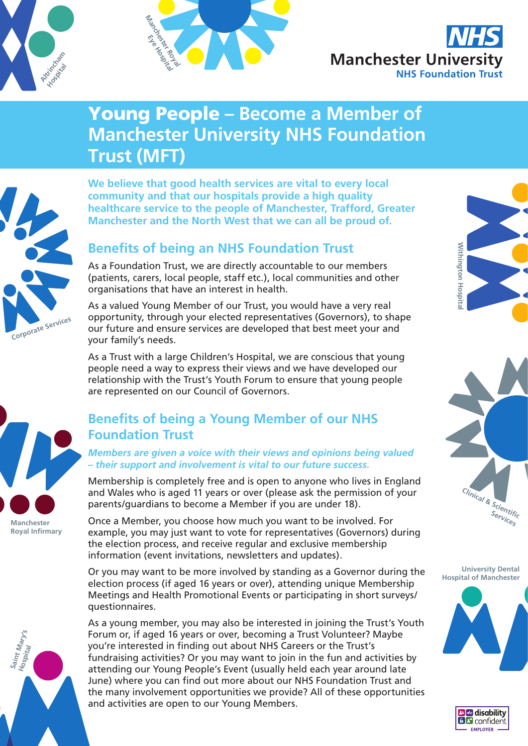





# Young People **– Become a Member of Manchester University NHS Foundation Trust (MFT)**

**Corporate Services**

**We believe that good health services are vital to every local community and that our hospitals provide a high quality healthcare service to the people of Manchester, Trafford, Greater Manchester and the North West that we can all be proud of.**

# **Benefits of being an NHS Foundation Trust**

As a Foundation Trust, we are directly accountable to our members (patients, carers, local people, staff etc.), local communities and other organisations that have an interest in health.

As a valued Young Member of our Trust, you would have a very real opportunity, through your elected representatives (Governors), to shape our future and ensure services are developed that best meet your and your family's needs.

As a Trust with a large Children's Hospital, we are conscious that young people need a way to express their views and we have developed our relationship with the Trust's Youth Forum to ensure that young people are represented on our Council of Governors.

# **Benefits of being a Young Member of our NHS Foundation Trust**

*Members are given a voice with their views and opinions being valued – their support and involvement is vital to our future success.*

Membership is completely free and is open to anyone who lives in England and Wales who is aged 11 years or over (please ask the permission of your parents/guardians to become a Member if you are under 18).

Once a Member, you choose how much you want to be involved. For example, you may just want to vote for representatives (Governors) during the election process, and receive regular and exclusive membership information (event invitations, newsletters and updates).

Or you may want to be more involved by standing as a Governor during the election process (if aged 16 years or over), attending unique Membership Meetings and Health Promotional Events or participating in short surveys/ questionnaires.

As a young member, you may also be interested in joining the Trust's Youth Forum or, if aged 16 years or over, becoming a Trust Volunteer? Maybe you're interested in finding out about NHS Careers or the Trust's fundraising activities? Or you may want to join in the fun and activities by attending our Young People's Event (usually held each year around late June) where you can find out more about our NHS Foundation Trust and the many involvement opportunities we provide? All of these opportunities and activities are open to our Young Members.





**University Dental Hospital of Manchester**







**Manchester Royal Infirmary**